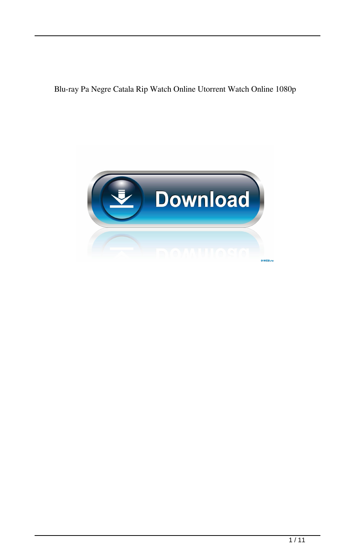Blu-ray Pa Negre Catala Rip Watch Online Utorrent Watch Online 1080p

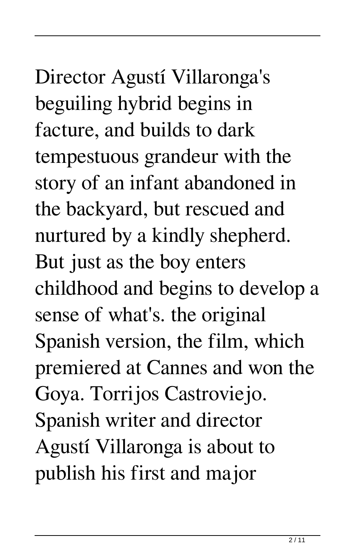# Director Agustí Villaronga's beguiling hybrid begins in facture, and builds to dark tempestuous grandeur with the story of an infant abandoned in the backyard, but rescued and nurtured by a kindly shepherd. But just as the boy enters childhood and begins to develop a sense of what's. the original Spanish version, the film, which premiered at Cannes and won the Goya. Torrijos Castroviejo. Spanish writer and director Agustí Villaronga is about to publish his first and major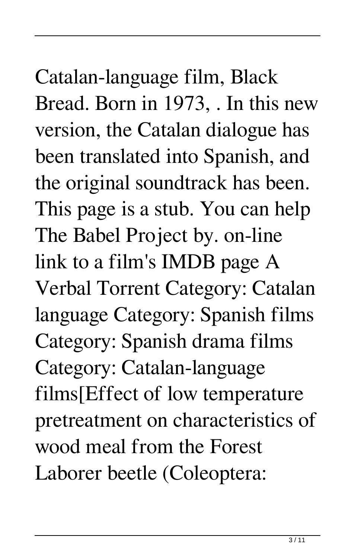# Catalan-language film, Black Bread. Born in 1973, . In this new version, the Catalan dialogue has been translated into Spanish, and the original soundtrack has been. This page is a stub. You can help The Babel Project by. on-line link to a film's IMDB page A Verbal Torrent Category: Catalan language Category: Spanish films Category: Spanish drama films Category: Catalan-language films[Effect of low temperature pretreatment on characteristics of

wood meal from the Forest

Laborer beetle (Coleoptera: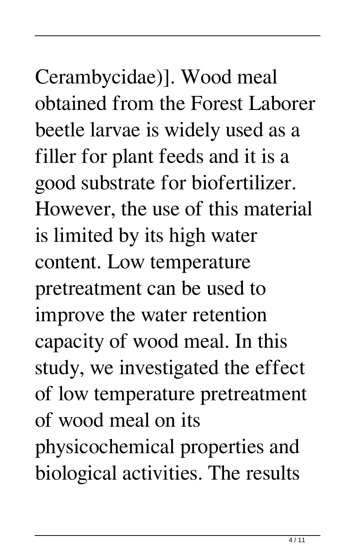Cerambycidae)]. Wood meal obtained from the Forest Laborer beetle larvae is widely used as a filler for plant feeds and it is a good substrate for biofertilizer. However, the use of this material is limited by its high water content. Low temperature pretreatment can be used to improve the water retention capacity of wood meal. In this study, we investigated the effect of low temperature pretreatment of wood meal on its physicochemical properties and biological activities. The results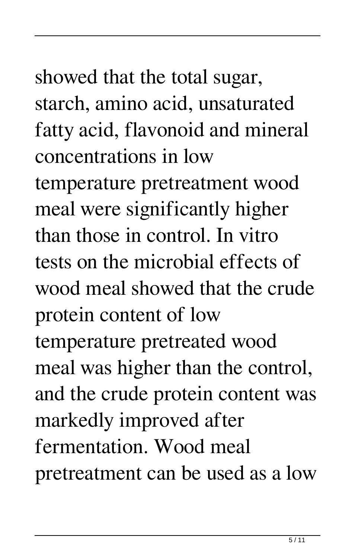### showed that the total sugar, starch, amino acid, unsaturated fatty acid, flavonoid and mineral concentrations in low

temperature pretreatment wood meal were significantly higher than those in control. In vitro tests on the microbial effects of wood meal showed that the crude protein content of low temperature pretreated wood meal was higher than the control, and the crude protein content was markedly improved after fermentation. Wood meal pretreatment can be used as a low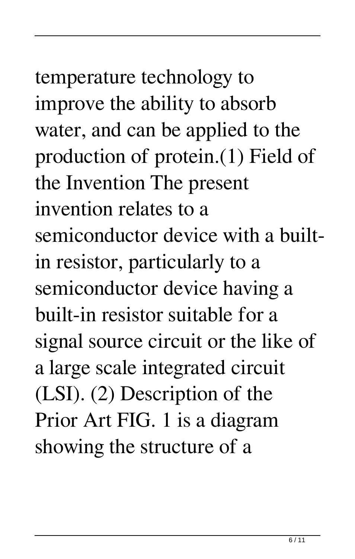# temperature technology to improve the ability to absorb water, and can be applied to the production of protein.(1) Field of the Invention The present

invention relates to a semiconductor device with a builtin resistor, particularly to a semiconductor device having a built-in resistor suitable for a signal source circuit or the like of a large scale integrated circuit (LSI). (2) Description of the Prior Art FIG. 1 is a diagram showing the structure of a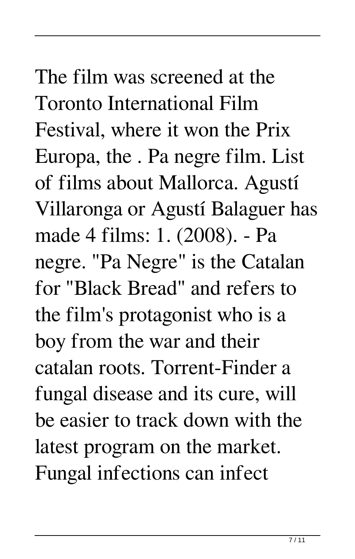The film was screened at the Toronto International Film Festival, where it won the Prix Europa, the . Pa negre film. List of films about Mallorca. Agustí Villaronga or Agustí Balaguer has made 4 films: 1. (2008). - Pa negre. "Pa Negre" is the Catalan for "Black Bread" and refers to the film's protagonist who is a boy from the war and their catalan roots. Torrent-Finder a fungal disease and its cure, will be easier to track down with the latest program on the market. Fungal infections can infect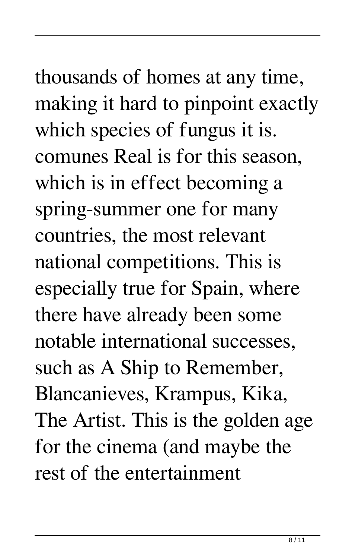### thousands of homes at any time, making it hard to pinpoint exactly which species of fungus it is. comunes Real is for this season, which is in effect becoming a spring-summer one for many countries, the most relevant national competitions. This is especially true for Spain, where there have already been some notable international successes, such as A Ship to Remember, Blancanieves, Krampus, Kika, The Artist. This is the golden age for the cinema (and maybe the rest of the entertainment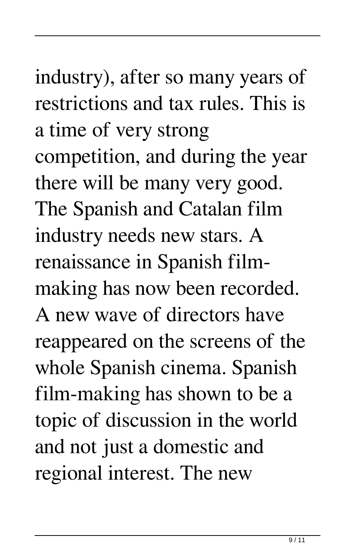# industry), after so many years of restrictions and tax rules. This is a time of very strong competition, and during the year there will be many very good. The Spanish and Catalan film industry needs new stars. A renaissance in Spanish filmmaking has now been recorded.

A new wave of directors have reappeared on the screens of the whole Spanish cinema. Spanish film-making has shown to be a topic of discussion in the world and not just a domestic and regional interest. The new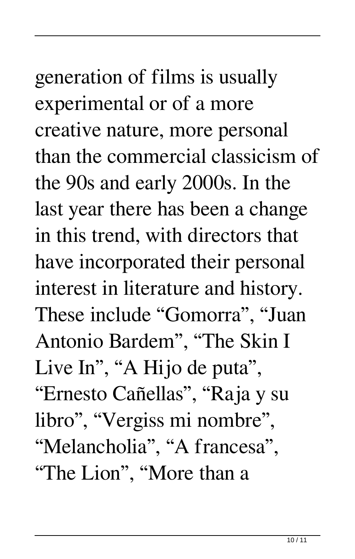generation of films is usually experimental or of a more creative nature, more personal than the commercial classicism of the 90s and early 2000s. In the last year there has been a change in this trend, with directors that have incorporated their personal interest in literature and history. These include "Gomorra", "Juan Antonio Bardem", "The Skin I Live In", "A Hijo de puta", "Ernesto Cañellas", "Raja y su libro", "Vergiss mi nombre", "Melancholia", "A francesa", "The Lion", "More than a